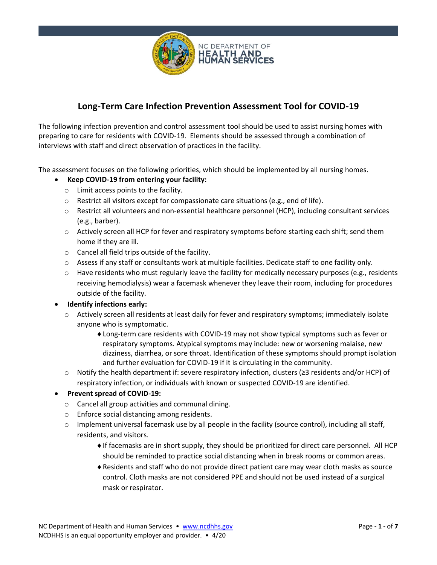

# **Long-Term Care Infection Prevention Assessment Tool for COVID-19**

The following infection prevention and control assessment tool should be used to assist nursing homes with preparing to care for residents with COVID-19. Elements should be assessed through a combination of interviews with staff and direct observation of practices in the facility.

The assessment focuses on the following priorities, which should be implemented by all nursing homes.

- **Keep COVID-19 from entering your facility:**
	- o Limit access points to the facility.
	- o Restrict all visitors except for compassionate care situations (e.g., end of life).
	- o Restrict all volunteers and non-essential healthcare personnel (HCP), including consultant services (e.g., barber).
	- $\circ$  Actively screen all HCP for fever and respiratory symptoms before starting each shift; send them home if they are ill.
	- o Cancel all field trips outside of the facility.
	- $\circ$  Assess if any staff or consultants work at multiple facilities. Dedicate staff to one facility only.
	- $\circ$  Have residents who must regularly leave the facility for medically necessary purposes (e.g., residents receiving hemodialysis) wear a facemask whenever they leave their room, including for procedures outside of the facility.
- **Identify infections early:**
	- $\circ$  Actively screen all residents at least daily for fever and respiratory symptoms; immediately isolate anyone who is symptomatic.
		- Long-term care residents with COVID-19 may not show typical symptoms such as fever or respiratory symptoms. Atypical symptoms may include: new or worsening malaise, new dizziness, diarrhea, or sore throat. Identification of these symptoms should prompt isolation and further evaluation for COVID-19 if it is circulating in the community.
	- o Notify the health department if: severe respiratory infection, clusters (≥3 residents and/or HCP) of respiratory infection, or individuals with known or suspected COVID-19 are identified.

### • **Prevent spread of COVID-19:**

- o Cancel all group activities and communal dining.
- o Enforce social distancing among residents.
- $\circ$  Implement universal facemask use by all people in the facility (source control), including all staff, residents, and visitors.
	- If facemasks are in short supply, they should be prioritized for direct care personnel. All HCP should be reminded to practice social distancing when in break rooms or common areas.
	- Residents and staff who do not provide direct patient care may wear cloth masks as source control. Cloth masks are not considered PPE and should not be used instead of a surgical mask or respirator.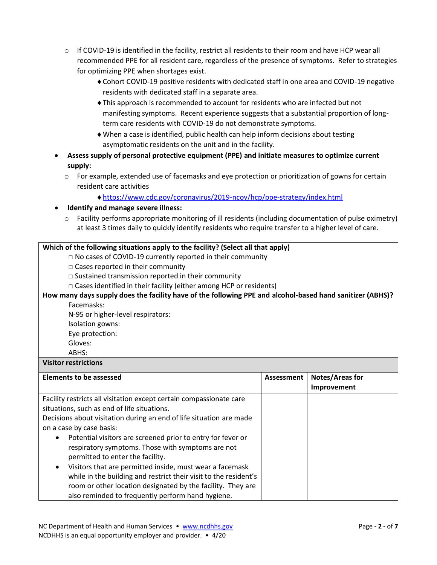- $\circ$  If COVID-19 is identified in the facility, restrict all residents to their room and have HCP wear all recommended PPE for all resident care, regardless of the presence of symptoms. Refer to strategies for optimizing PPE when shortages exist.
	- Cohort COVID-19 positive residents with dedicated staff in one area and COVID-19 negative residents with dedicated staff in a separate area.
	- This approach is recommended to account for residents who are infected but not manifesting symptoms. Recent experience suggests that a substantial proportion of longterm care residents with COVID-19 do not demonstrate symptoms.
	- When a case is identified, public health can help inform decisions about testing asymptomatic residents on the unit and in the facility.
- **Assess supply of personal protective equipment (PPE) and initiate measures to optimize current supply:**
	- o For example, extended use of facemasks and eye protection or prioritization of gowns for certain resident care activities
		- <https://www.cdc.gov/coronavirus/2019-ncov/hcp/ppe-strategy/index.html>
- **Identify and manage severe illness:**
	- $\circ$  Facility performs appropriate monitoring of ill residents (including documentation of pulse oximetry) at least 3 times daily to quickly identify residents who require transfer to a higher level of care.

### **Which of the following situations apply to the facility? (Select all that apply)**

- □ No cases of COVID-19 currently reported in their community
- □ Cases reported in their community
- $\Box$  Sustained transmission reported in their community
- $\Box$  Cases identified in their facility (either among HCP or residents)

## **How many days supply does the facility have of the following PPE and alcohol-based hand sanitizer (ABHS)?**

Facemasks:

N-95 or higher-level respirators:

Isolation gowns:

Eye protection:

Gloves:

ABHS:

### **Visitor restrictions**

| <b>Elements to be assessed</b>                                           | Assessment | Notes/Areas for |
|--------------------------------------------------------------------------|------------|-----------------|
|                                                                          |            | Improvement     |
| Facility restricts all visitation except certain compassionate care      |            |                 |
| situations, such as end of life situations.                              |            |                 |
| Decisions about visitation during an end of life situation are made      |            |                 |
| on a case by case basis:                                                 |            |                 |
| Potential visitors are screened prior to entry for fever or<br>$\bullet$ |            |                 |
| respiratory symptoms. Those with symptoms are not                        |            |                 |
| permitted to enter the facility.                                         |            |                 |
| Visitors that are permitted inside, must wear a facemask                 |            |                 |
| while in the building and restrict their visit to the resident's         |            |                 |
| room or other location designated by the facility. They are              |            |                 |
| also reminded to frequently perform hand hygiene.                        |            |                 |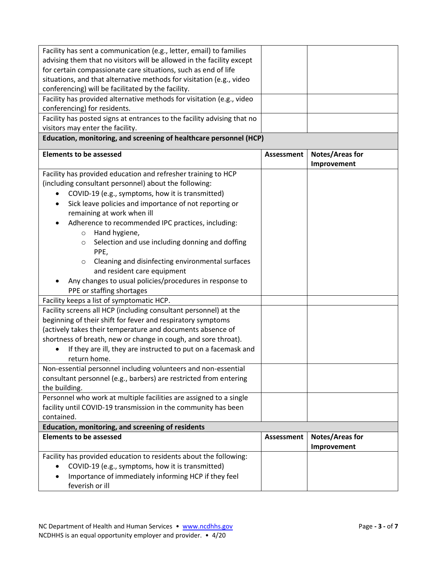| Facility has sent a communication (e.g., letter, email) to families                 |                   |                                       |
|-------------------------------------------------------------------------------------|-------------------|---------------------------------------|
| advising them that no visitors will be allowed in the facility except               |                   |                                       |
| for certain compassionate care situations, such as end of life                      |                   |                                       |
| situations, and that alternative methods for visitation (e.g., video                |                   |                                       |
| conferencing) will be facilitated by the facility.                                  |                   |                                       |
| Facility has provided alternative methods for visitation (e.g., video               |                   |                                       |
| conferencing) for residents.                                                        |                   |                                       |
| Facility has posted signs at entrances to the facility advising that no             |                   |                                       |
| visitors may enter the facility.                                                    |                   |                                       |
| Education, monitoring, and screening of healthcare personnel (HCP)                  |                   |                                       |
| <b>Elements to be assessed</b>                                                      | <b>Assessment</b> | <b>Notes/Areas for</b><br>Improvement |
| Facility has provided education and refresher training to HCP                       |                   |                                       |
| (including consultant personnel) about the following:                               |                   |                                       |
| COVID-19 (e.g., symptoms, how it is transmitted)                                    |                   |                                       |
| Sick leave policies and importance of not reporting or<br>$\bullet$                 |                   |                                       |
| remaining at work when ill                                                          |                   |                                       |
| Adherence to recommended IPC practices, including:                                  |                   |                                       |
| Hand hygiene,<br>$\circ$                                                            |                   |                                       |
| Selection and use including donning and doffing<br>$\circ$                          |                   |                                       |
| PPE,                                                                                |                   |                                       |
| Cleaning and disinfecting environmental surfaces<br>$\circ$                         |                   |                                       |
| and resident care equipment                                                         |                   |                                       |
| Any changes to usual policies/procedures in response to                             |                   |                                       |
| PPE or staffing shortages                                                           |                   |                                       |
| Facility keeps a list of symptomatic HCP.                                           |                   |                                       |
| Facility screens all HCP (including consultant personnel) at the                    |                   |                                       |
| beginning of their shift for fever and respiratory symptoms                         |                   |                                       |
| (actively takes their temperature and documents absence of                          |                   |                                       |
| shortness of breath, new or change in cough, and sore throat).                      |                   |                                       |
| If they are ill, they are instructed to put on a facemask and                       |                   |                                       |
| return home.                                                                        |                   |                                       |
|                                                                                     |                   |                                       |
| Non-essential personnel including volunteers and non-essential                      |                   |                                       |
| consultant personnel (e.g., barbers) are restricted from entering                   |                   |                                       |
| the building.<br>Personnel who work at multiple facilities are assigned to a single |                   |                                       |
|                                                                                     |                   |                                       |
| facility until COVID-19 transmission in the community has been                      |                   |                                       |
| contained.                                                                          |                   |                                       |
| Education, monitoring, and screening of residents<br><b>Elements to be assessed</b> | <b>Assessment</b> |                                       |
|                                                                                     |                   | <b>Notes/Areas for</b>                |
|                                                                                     |                   | Improvement                           |
| Facility has provided education to residents about the following:                   |                   |                                       |
| COVID-19 (e.g., symptoms, how it is transmitted)<br>$\bullet$                       |                   |                                       |
| Importance of immediately informing HCP if they feel                                |                   |                                       |
| feverish or ill                                                                     |                   |                                       |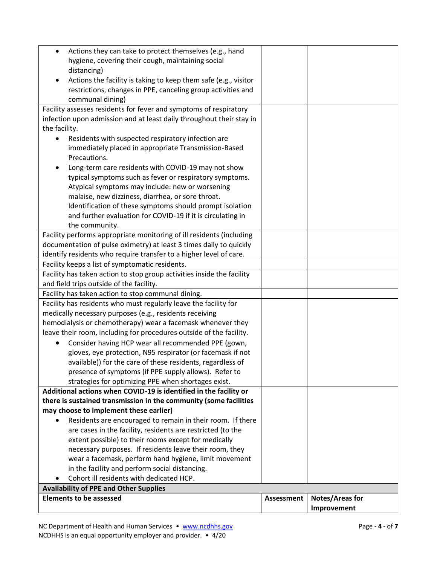|                                                                                                                                            |            | Improvement            |
|--------------------------------------------------------------------------------------------------------------------------------------------|------------|------------------------|
| <b>Elements to be assessed</b>                                                                                                             | Assessment | <b>Notes/Areas for</b> |
| <b>Availability of PPE and Other Supplies</b>                                                                                              |            |                        |
| Cohort ill residents with dedicated HCP.                                                                                                   |            |                        |
| in the facility and perform social distancing.                                                                                             |            |                        |
| wear a facemask, perform hand hygiene, limit movement                                                                                      |            |                        |
| necessary purposes. If residents leave their room, they                                                                                    |            |                        |
| extent possible) to their rooms except for medically                                                                                       |            |                        |
| are cases in the facility, residents are restricted (to the                                                                                |            |                        |
| Residents are encouraged to remain in their room. If there                                                                                 |            |                        |
| may choose to implement these earlier)                                                                                                     |            |                        |
| there is sustained transmission in the community (some facilities                                                                          |            |                        |
| Additional actions when COVID-19 is identified in the facility or                                                                          |            |                        |
| strategies for optimizing PPE when shortages exist.                                                                                        |            |                        |
| presence of symptoms (if PPE supply allows). Refer to                                                                                      |            |                        |
| available)) for the care of these residents, regardless of                                                                                 |            |                        |
| gloves, eye protection, N95 respirator (or facemask if not                                                                                 |            |                        |
| Consider having HCP wear all recommended PPE (gown,<br>٠                                                                                   |            |                        |
| leave their room, including for procedures outside of the facility.                                                                        |            |                        |
| hemodialysis or chemotherapy) wear a facemask whenever they                                                                                |            |                        |
| medically necessary purposes (e.g., residents receiving                                                                                    |            |                        |
| Facility has residents who must regularly leave the facility for                                                                           |            |                        |
| Facility has taken action to stop communal dining.                                                                                         |            |                        |
| and field trips outside of the facility.                                                                                                   |            |                        |
| Facility has taken action to stop group activities inside the facility                                                                     |            |                        |
| Facility keeps a list of symptomatic residents.                                                                                            |            |                        |
| identify residents who require transfer to a higher level of care.                                                                         |            |                        |
| Facility performs appropriate monitoring of ill residents (including<br>documentation of pulse oximetry) at least 3 times daily to quickly |            |                        |
| the community.                                                                                                                             |            |                        |
| and further evaluation for COVID-19 if it is circulating in                                                                                |            |                        |
| Identification of these symptoms should prompt isolation                                                                                   |            |                        |
| malaise, new dizziness, diarrhea, or sore throat.                                                                                          |            |                        |
| Atypical symptoms may include: new or worsening                                                                                            |            |                        |
| typical symptoms such as fever or respiratory symptoms.                                                                                    |            |                        |
| Long-term care residents with COVID-19 may not show                                                                                        |            |                        |
| Precautions.                                                                                                                               |            |                        |
| immediately placed in appropriate Transmission-Based                                                                                       |            |                        |
| Residents with suspected respiratory infection are                                                                                         |            |                        |
| the facility.                                                                                                                              |            |                        |
| infection upon admission and at least daily throughout their stay in                                                                       |            |                        |
| Facility assesses residents for fever and symptoms of respiratory                                                                          |            |                        |
| communal dining)                                                                                                                           |            |                        |
| restrictions, changes in PPE, canceling group activities and                                                                               |            |                        |
| Actions the facility is taking to keep them safe (e.g., visitor                                                                            |            |                        |
| distancing)                                                                                                                                |            |                        |
| hygiene, covering their cough, maintaining social                                                                                          |            |                        |
| Actions they can take to protect themselves (e.g., hand<br>$\bullet$                                                                       |            |                        |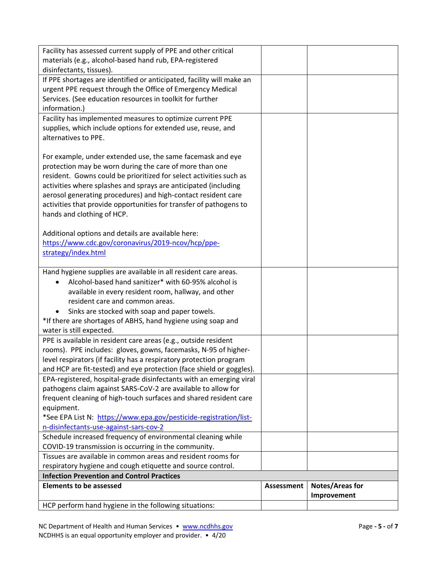| Facility has assessed current supply of PPE and other critical        |            |                 |
|-----------------------------------------------------------------------|------------|-----------------|
| materials (e.g., alcohol-based hand rub, EPA-registered               |            |                 |
| disinfectants, tissues).                                              |            |                 |
| If PPE shortages are identified or anticipated, facility will make an |            |                 |
| urgent PPE request through the Office of Emergency Medical            |            |                 |
| Services. (See education resources in toolkit for further             |            |                 |
| information.)                                                         |            |                 |
| Facility has implemented measures to optimize current PPE             |            |                 |
| supplies, which include options for extended use, reuse, and          |            |                 |
| alternatives to PPE.                                                  |            |                 |
|                                                                       |            |                 |
| For example, under extended use, the same facemask and eye            |            |                 |
| protection may be worn during the care of more than one               |            |                 |
| resident. Gowns could be prioritized for select activities such as    |            |                 |
| activities where splashes and sprays are anticipated (including       |            |                 |
| aerosol generating procedures) and high-contact resident care         |            |                 |
| activities that provide opportunities for transfer of pathogens to    |            |                 |
| hands and clothing of HCP.                                            |            |                 |
|                                                                       |            |                 |
| Additional options and details are available here:                    |            |                 |
| https://www.cdc.gov/coronavirus/2019-ncov/hcp/ppe-                    |            |                 |
| strategy/index.html                                                   |            |                 |
| Hand hygiene supplies are available in all resident care areas.       |            |                 |
| Alcohol-based hand sanitizer* with 60-95% alcohol is                  |            |                 |
| available in every resident room, hallway, and other                  |            |                 |
| resident care and common areas.                                       |            |                 |
| Sinks are stocked with soap and paper towels.                         |            |                 |
| *If there are shortages of ABHS, hand hygiene using soap and          |            |                 |
| water is still expected.                                              |            |                 |
| PPE is available in resident care areas (e.g., outside resident       |            |                 |
| rooms). PPE includes: gloves, gowns, facemasks, N-95 of higher-       |            |                 |
| level respirators (if facility has a respiratory protection program   |            |                 |
| and HCP are fit-tested) and eye protection (face shield or goggles).  |            |                 |
| EPA-registered, hospital-grade disinfectants with an emerging viral   |            |                 |
| pathogens claim against SARS-CoV-2 are available to allow for         |            |                 |
| frequent cleaning of high-touch surfaces and shared resident care     |            |                 |
| equipment.                                                            |            |                 |
| *See EPA List N: https://www.epa.gov/pesticide-registration/list-     |            |                 |
| n-disinfectants-use-against-sars-cov-2                                |            |                 |
| Schedule increased frequency of environmental cleaning while          |            |                 |
| COVID-19 transmission is occurring in the community.                  |            |                 |
| Tissues are available in common areas and resident rooms for          |            |                 |
| respiratory hygiene and cough etiquette and source control.           |            |                 |
| <b>Infection Prevention and Control Practices</b>                     |            |                 |
| <b>Elements to be assessed</b>                                        | Assessment | Notes/Areas for |
|                                                                       |            | Improvement     |
| HCP perform hand hygiene in the following situations:                 |            |                 |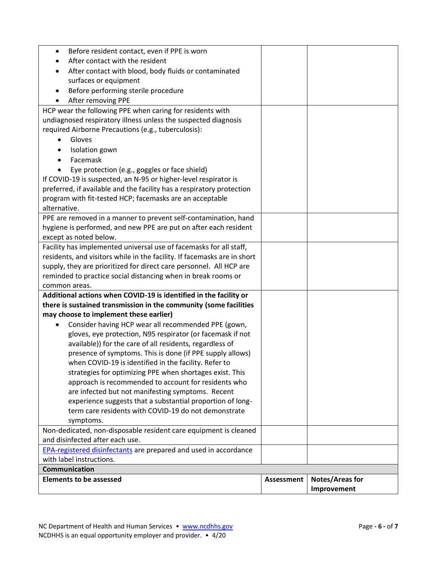|                                                                                                                   |            | Improvement     |
|-------------------------------------------------------------------------------------------------------------------|------------|-----------------|
| <b>Elements to be assessed</b>                                                                                    | Assessment | Notes/Areas for |
| with label instructions.<br><b>Communication</b>                                                                  |            |                 |
| <b>EPA-registered disinfectants</b> are prepared and used in accordance                                           |            |                 |
| and disinfected after each use.                                                                                   |            |                 |
| Non-dedicated, non-disposable resident care equipment is cleaned                                                  |            |                 |
| symptoms.                                                                                                         |            |                 |
| term care residents with COVID-19 do not demonstrate                                                              |            |                 |
| experience suggests that a substantial proportion of long-                                                        |            |                 |
| are infected but not manifesting symptoms. Recent                                                                 |            |                 |
| approach is recommended to account for residents who                                                              |            |                 |
| strategies for optimizing PPE when shortages exist. This                                                          |            |                 |
| when COVID-19 is identified in the facility. Refer to                                                             |            |                 |
| presence of symptoms. This is done (if PPE supply allows)                                                         |            |                 |
| available)) for the care of all residents, regardless of                                                          |            |                 |
| Consider having HCP wear all recommended PPE (gown,<br>gloves, eye protection, N95 respirator (or facemask if not |            |                 |
| may choose to implement these earlier)                                                                            |            |                 |
| there is sustained transmission in the community (some facilities                                                 |            |                 |
| Additional actions when COVID-19 is identified in the facility or                                                 |            |                 |
| common areas.                                                                                                     |            |                 |
| reminded to practice social distancing when in break rooms or                                                     |            |                 |
| supply, they are prioritized for direct care personnel. All HCP are                                               |            |                 |
| residents, and visitors while in the facility. If facemasks are in short                                          |            |                 |
| Facility has implemented universal use of facemasks for all staff,                                                |            |                 |
| except as noted below.                                                                                            |            |                 |
| hygiene is performed, and new PPE are put on after each resident                                                  |            |                 |
| PPE are removed in a manner to prevent self-contamination, hand                                                   |            |                 |
| alternative.                                                                                                      |            |                 |
| program with fit-tested HCP; facemasks are an acceptable                                                          |            |                 |
| preferred, if available and the facility has a respiratory protection                                             |            |                 |
| If COVID-19 is suspected, an N-95 or higher-level respirator is                                                   |            |                 |
| Eye protection (e.g., goggles or face shield)                                                                     |            |                 |
| Facemask<br>$\bullet$                                                                                             |            |                 |
| Isolation gown<br>٠                                                                                               |            |                 |
| Gloves                                                                                                            |            |                 |
| required Airborne Precautions (e.g., tuberculosis):                                                               |            |                 |
| undiagnosed respiratory illness unless the suspected diagnosis                                                    |            |                 |
| HCP wear the following PPE when caring for residents with                                                         |            |                 |
| After removing PPE                                                                                                |            |                 |
| surfaces or equipment<br>Before performing sterile procedure                                                      |            |                 |
| After contact with blood, body fluids or contaminated                                                             |            |                 |
| After contact with the resident                                                                                   |            |                 |
| Before resident contact, even if PPE is worn<br>$\bullet$                                                         |            |                 |
|                                                                                                                   |            |                 |